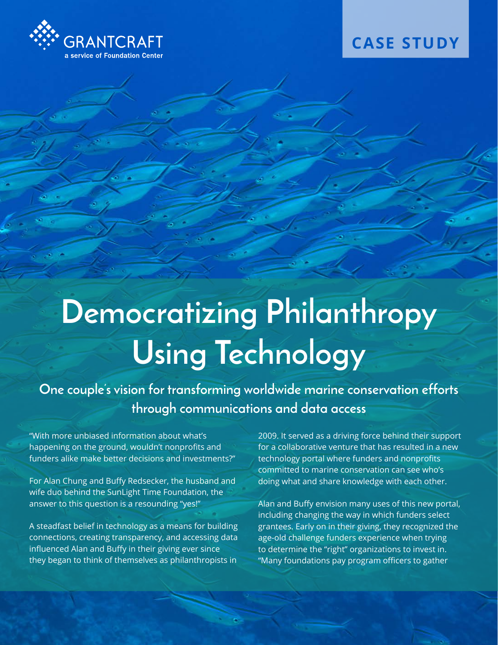

## **CASE STUDY**

# **Democratizing Philanthropy Using Technology**

**One couple's vision for transforming worldwide marine conservation efforts through communications and data access**

"With more unbiased information about what's happening on the ground, wouldn't nonprofits and funders alike make better decisions and investments?"

For Alan Chung and Buffy Redsecker, the husband and wife duo behind the SunLight Time Foundation, the answer to this question is a resounding "yes!"

A steadfast belief in technology as a means for building connections, creating transparency, and accessing data influenced Alan and Buffy in their giving ever since they began to think of themselves as philanthropists in

2009. It served as a driving force behind their support for a collaborative venture that has resulted in a new technology portal where funders and nonprofits committed to marine conservation can see who's doing what and share knowledge with each other.

Alan and Buffy envision many uses of this new portal, including changing the way in which funders select grantees. Early on in their giving, they recognized the age-old challenge funders experience when trying to determine the "right" organizations to invest in. "Many foundations pay program officers to gather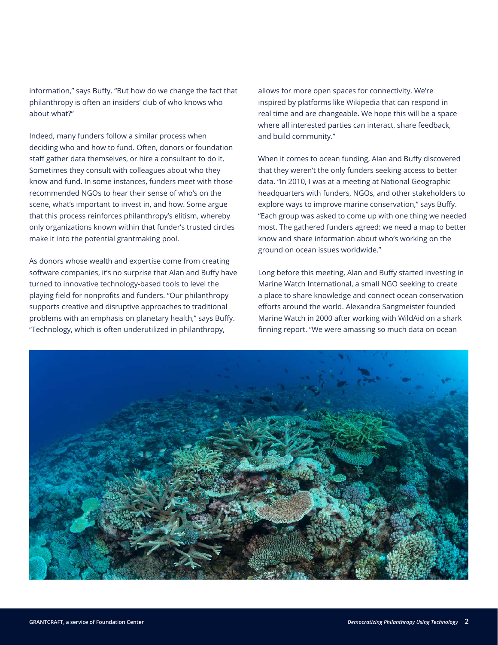information," says Buffy. "But how do we change the fact that philanthropy is often an insiders' club of who knows who about what?"

Indeed, many funders follow a similar process when deciding who and how to fund. Often, donors or foundation staff gather data themselves, or hire a consultant to do it. Sometimes they consult with colleagues about who they know and fund. In some instances, funders meet with those recommended NGOs to hear their sense of who's on the scene, what's important to invest in, and how. Some argue that this process reinforces philanthropy's elitism, whereby only organizations known within that funder's trusted circles make it into the potential grantmaking pool.

As donors whose wealth and expertise come from creating software companies, it's no surprise that Alan and Buffy have turned to innovative technology-based tools to level the playing field for nonprofits and funders. "Our philanthropy supports creative and disruptive approaches to traditional problems with an emphasis on planetary health," says Buffy. "Technology, which is often underutilized in philanthropy,

allows for more open spaces for connectivity. We're inspired by platforms like Wikipedia that can respond in real time and are changeable. We hope this will be a space where all interested parties can interact, share feedback, and build community."

When it comes to ocean funding, Alan and Buffy discovered that they weren't the only funders seeking access to better data. "In 2010, I was at a meeting at National Geographic headquarters with funders, NGOs, and other stakeholders to explore ways to improve marine conservation," says Buffy. "Each group was asked to come up with one thing we needed most. The gathered funders agreed: we need a map to better know and share information about who's working on the ground on ocean issues worldwide."

Long before this meeting, Alan and Buffy started investing in Marine Watch International, a small NGO seeking to create a place to share knowledge and connect ocean conservation efforts around the world. Alexandra Sangmeister founded Marine Watch in 2000 after working with WildAid on a shark finning report. "We were amassing so much data on ocean

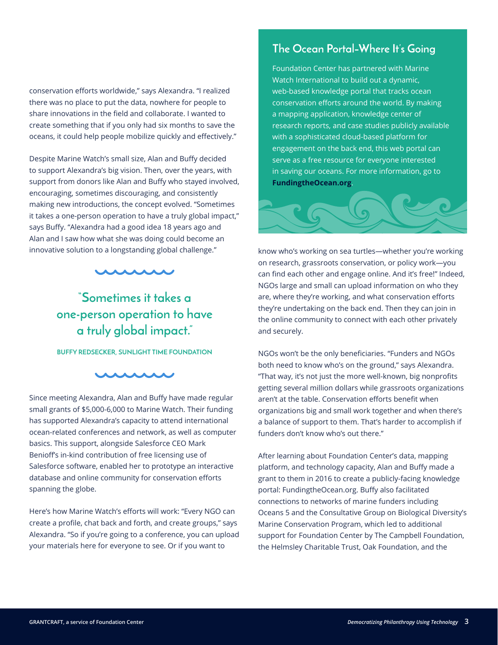#### conservation efforts worldwide," says Alexandra. "I realized there was no place to put the data, nowhere for people to share innovations in the field and collaborate. I wanted to create something that if you only had six months to save the oceans, it could help people mobilize quickly and effectively."

Despite Marine Watch's small size, Alan and Buffy decided to support Alexandra's big vision. Then, over the years, with support from donors like Alan and Buffy who stayed involved, encouraging, sometimes discouraging, and consistently making new introductions, the concept evolved. "Sometimes it takes a one-person operation to have a truly global impact," says Buffy. "Alexandra had a good idea 18 years ago and Alan and I saw how what she was doing could become an innovative solution to a longstanding global challenge."



**"Sometimes it takes a one-person operation to have a truly global impact."**

#### **BUFFY REDSECKER, SUNLIGHT TIME FOUNDATION**

#### **AAAAA**

Since meeting Alexandra, Alan and Buffy have made regular small grants of \$5,000-6,000 to Marine Watch. Their funding has supported Alexandra's capacity to attend international ocean-related conferences and network, as well as computer basics. This support, alongside Salesforce CEO Mark Benioff's in-kind contribution of free licensing use of Salesforce software, enabled her to prototype an interactive database and online community for conservation efforts spanning the globe.

Here's how Marine Watch's efforts will work: "Every NGO can create a profile, chat back and forth, and create groups," says Alexandra. "So if you're going to a conference, you can upload your materials here for everyone to see. Or if you want to

### **The Ocean Portal–Where It's Going**

Foundation Center has partnered with Marine Watch International to build out a dynamic, web-based knowledge portal that tracks ocean conservation efforts around the world. By making a mapping application, knowledge center of research reports, and case studies publicly available with a sophisticated cloud-based platform for engagement on the back end, this web portal can serve as a free resource for everyone interested in saving our oceans. For more information, go to **[FundingtheOcean.org](http://FundingtheOcean.org)**.



know who's working on sea turtles—whether you're working on research, grassroots conservation, or policy work—you can find each other and engage online. And it's free!" Indeed, NGOs large and small can upload information on who they are, where they're working, and what conservation efforts they're undertaking on the back end. Then they can join in the online community to connect with each other privately and securely.

NGOs won't be the only beneficiaries. "Funders and NGOs both need to know who's on the ground," says Alexandra. "That way, it's not just the more well-known, big nonprofits getting several million dollars while grassroots organizations aren't at the table. Conservation efforts benefit when organizations big and small work together and when there's a balance of support to them. That's harder to accomplish if funders don't know who's out there."

After learning about Foundation Center's data, mapping platform, and technology capacity, Alan and Buffy made a grant to them in 2016 to create a publicly-facing knowledge portal: FundingtheOcean.org. Buffy also facilitated connections to networks of marine funders including Oceans 5 and the Consultative Group on Biological Diversity's Marine Conservation Program, which led to additional support for Foundation Center by The Campbell Foundation, the Helmsley Charitable Trust, Oak Foundation, and the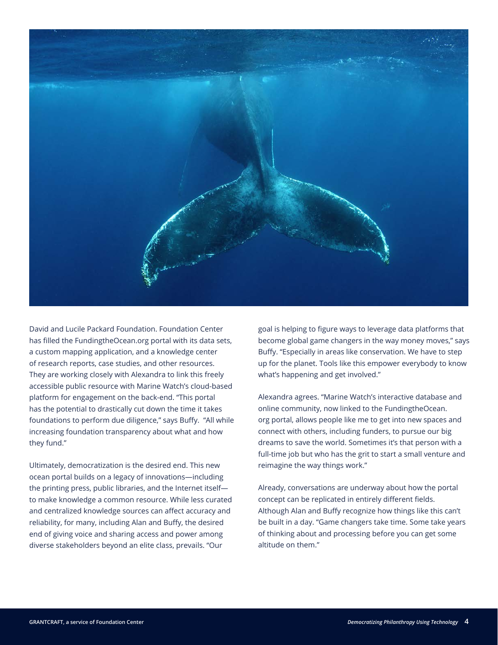

David and Lucile Packard Foundation. Foundation Center has filled the FundingtheOcean.org portal with its data sets, a custom mapping application, and a knowledge center of research reports, case studies, and other resources. They are working closely with Alexandra to link this freely accessible public resource with Marine Watch's cloud-based platform for engagement on the back-end. "This portal has the potential to drastically cut down the time it takes foundations to perform due diligence," says Buffy. "All while increasing foundation transparency about what and how they fund."

Ultimately, democratization is the desired end. This new ocean portal builds on a legacy of innovations—including the printing press, public libraries, and the Internet itself to make knowledge a common resource. While less curated and centralized knowledge sources can affect accuracy and reliability, for many, including Alan and Buffy, the desired end of giving voice and sharing access and power among diverse stakeholders beyond an elite class, prevails. "Our

goal is helping to figure ways to leverage data platforms that become global game changers in the way money moves," says Buffy. "Especially in areas like conservation. We have to step up for the planet. Tools like this empower everybody to know what's happening and get involved."

Alexandra agrees. "Marine Watch's interactive database and online community, now linked to the FundingtheOcean. org portal, allows people like me to get into new spaces and connect with others, including funders, to pursue our big dreams to save the world. Sometimes it's that person with a full-time job but who has the grit to start a small venture and reimagine the way things work."

Already, conversations are underway about how the portal concept can be replicated in entirely different fields. Although Alan and Buffy recognize how things like this can't be built in a day. "Game changers take time. Some take years of thinking about and processing before you can get some altitude on them."